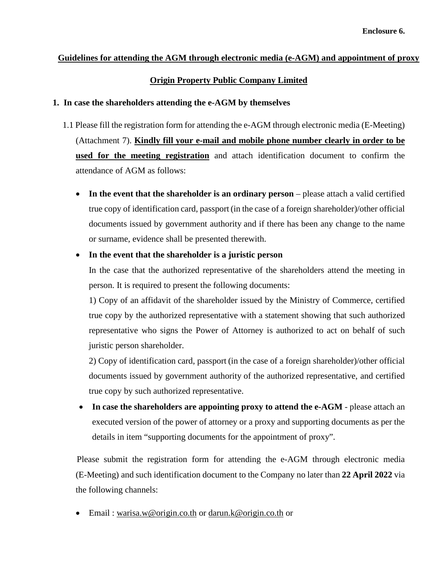# **Guidelines for attending the AGM through electronic media (e-AGM) and appointment of proxy**

## **Origin Property Public Company Limited**

## **1. In case the shareholders attending the e-AGM by themselves**

- 1.1 Please fill the registration form for attending the e-AGM through electronic media (E-Meeting) (Attachment 7). **Kindly fill your e-mail and mobile phone number clearly in order to be used for the meeting registration** and attach identification document to confirm the attendance of AGM as follows:
	- **In the event that the shareholder is an ordinary person** please attach a valid certified true copy of identification card, passport (in the case of a foreign shareholder)/other official documents issued by government authority and if there has been any change to the name or surname, evidence shall be presented therewith.

## • **In the event that the shareholder is a juristic person**

In the case that the authorized representative of the shareholders attend the meeting in person. It is required to present the following documents:

1) Copy of an affidavit of the shareholder issued by the Ministry of Commerce, certified true copy by the authorized representative with a statement showing that such authorized representative who signs the Power of Attorney is authorized to act on behalf of such juristic person shareholder.

2) Copy of identification card, passport (in the case of a foreign shareholder)/other official documents issued by government authority of the authorized representative, and certified true copy by such authorized representative.

• **In case the shareholders are appointing proxy to attend the e-AGM** - please attach an executed version of the power of attorney or a proxy and supporting documents as per the details in item "supporting documents for the appointment of proxy".

 Please submit the registration form for attending the e-AGM through electronic media (E-Meeting) and such identification document to the Company no later than **22 April 2022** via the following channels:

• Email : warisa.w@origin.co.th or [darun.k@origin.co.th](mailto:darun.k@origin.co.th) or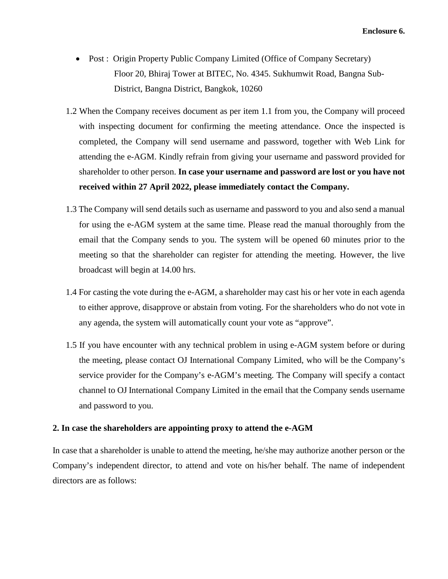- Post : Origin Property Public Company Limited (Office of Company Secretary) Floor 20, Bhiraj Tower at BITEC, No. 4345. Sukhumwit Road, Bangna Sub- District, Bangna District, Bangkok, 10260
- 1.2 When the Company receives document as per item 1.1 from you, the Company will proceed with inspecting document for confirming the meeting attendance. Once the inspected is completed, the Company will send username and password, together with Web Link for attending the e-AGM. Kindly refrain from giving your username and password provided for shareholder to other person. **In case your username and password are lost or you have not received within 27 April 2022, please immediately contact the Company.**
- 1.3 The Company will send details such as username and password to you and also send a manual for using the e-AGM system at the same time. Please read the manual thoroughly from the email that the Company sends to you. The system will be opened 60 minutes prior to the meeting so that the shareholder can register for attending the meeting. However, the live broadcast will begin at 14.00 hrs.
- 1.4 For casting the vote during the e-AGM, a shareholder may cast his or her vote in each agenda to either approve, disapprove or abstain from voting. For the shareholders who do not vote in any agenda, the system will automatically count your vote as "approve".
- 1.5 If you have encounter with any technical problem in using e-AGM system before or during the meeting, please contact OJ International Company Limited, who will be the Company's service provider for the Company's e-AGM's meeting. The Company will specify a contact channel to OJ International Company Limited in the email that the Company sends username and password to you.

## **2. In case the shareholders are appointing proxy to attend the e-AGM**

In case that a shareholder is unable to attend the meeting, he/she may authorize another person or the Company's independent director, to attend and vote on his/her behalf. The name of independent directors are as follows: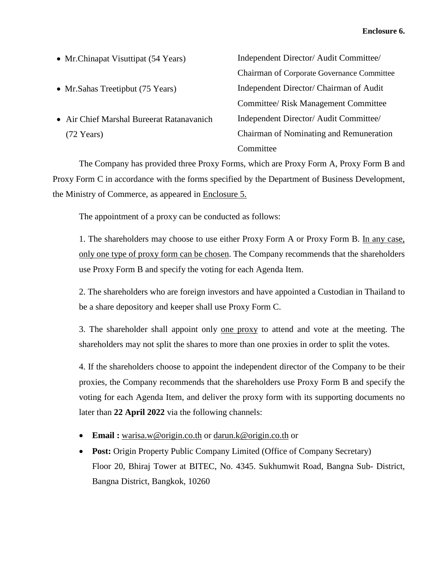- Mr. Chinapat Visuttipat (54 Years) Independent Director/ Audit Committee/
- 
- Air Chief Marshal Bureerat Ratanavanich (72 Years)

Chairman of Corporate Governance Committee • Mr. Sahas Treetipbut (75 Years) Independent Director/ Chairman of Audit Committee/ Risk Management Committee Independent Director/ Audit Committee/ Chairman of Nominating and Remuneration Committee

The Company has provided three Proxy Forms, which are Proxy Form A, Proxy Form B and Proxy Form C in accordance with the forms specified by the Department of Business Development, the Ministry of Commerce, as appeared in Enclosure 5.

The appointment of a proxy can be conducted as follows:

1. The shareholders may choose to use either Proxy Form A or Proxy Form B. In any case, only one type of proxy form can be chosen. The Company recommends that the shareholders use Proxy Form B and specify the voting for each Agenda Item.

2. The shareholders who are foreign investors and have appointed a Custodian in Thailand to be a share depository and keeper shall use Proxy Form C.

3. The shareholder shall appoint only <u>one proxy</u> to attend and vote at the meeting. The shareholders may not split the shares to more than one proxies in order to split the votes.

4. If the shareholders choose to appoint the independent director of the Company to be their proxies, the Company recommends that the shareholders use Proxy Form B and specify the voting for each Agenda Item, and deliver the proxy form with its supporting documents no later than **22 April 2022** via the following channels:

- **Email :** warisa.w@origin.co.th or darun.k@origin.co.th or
- **Post:** Origin Property Public Company Limited (Office of Company Secretary) Floor 20, Bhiraj Tower at BITEC, No. 4345. Sukhumwit Road, Bangna Sub- District, Bangna District, Bangkok, 10260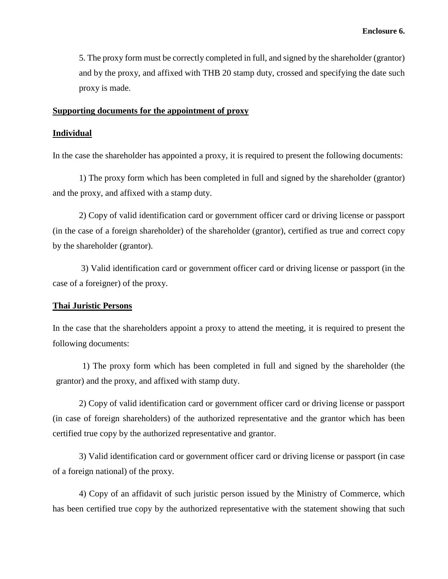5. The proxy form must be correctly completed in full, and signed by the shareholder (grantor) and by the proxy, and affixed with THB 20 stamp duty, crossed and specifying the date such proxy is made.

#### **Supporting documents for the appointment of proxy**

## **Individual**

In the case the shareholder has appointed a proxy, it is required to present the following documents:

1) The proxy form which has been completed in full and signed by the shareholder (grantor) and the proxy, and affixed with a stamp duty.

2) Copy of valid identification card or government officer card or driving license or passport (in the case of a foreign shareholder) of the shareholder (grantor), certified as true and correct copy by the shareholder (grantor).

3) Valid identification card or government officer card or driving license or passport (in the case of a foreigner) of the proxy.

## **Thai Juristic Persons**

In the case that the shareholders appoint a proxy to attend the meeting, it is required to present the following documents:

1) The proxy form which has been completed in full and signed by the shareholder (the grantor) and the proxy, and affixed with stamp duty.

2) Copy of valid identification card or government officer card or driving license or passport (in case of foreign shareholders) of the authorized representative and the grantor which has been certified true copy by the authorized representative and grantor.

3) Valid identification card or government officer card or driving license or passport (in case of a foreign national) of the proxy.

4) Copy of an affidavit of such juristic person issued by the Ministry of Commerce, which has been certified true copy by the authorized representative with the statement showing that such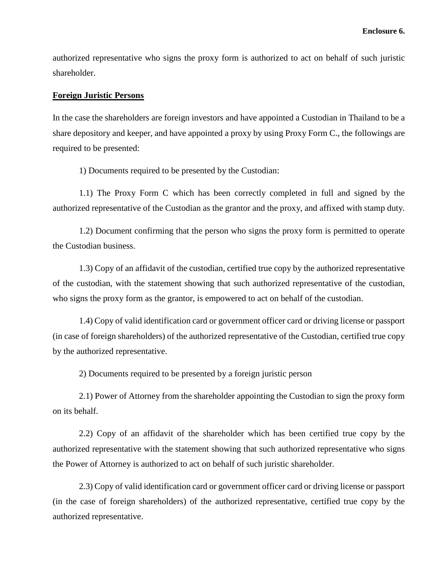authorized representative who signs the proxy form is authorized to act on behalf of such juristic shareholder.

#### **Foreign Juristic Persons**

In the case the shareholders are foreign investors and have appointed a Custodian in Thailand to be a share depository and keeper, and have appointed a proxy by using Proxy Form C., the followings are required to be presented:

1) Documents required to be presented by the Custodian:

1.1) The Proxy Form C which has been correctly completed in full and signed by the authorized representative of the Custodian as the grantor and the proxy, and affixed with stamp duty.

1.2) Document confirming that the person who signs the proxy form is permitted to operate the Custodian business.

1.3) Copy of an affidavit of the custodian, certified true copy by the authorized representative of the custodian, with the statement showing that such authorized representative of the custodian, who signs the proxy form as the grantor, is empowered to act on behalf of the custodian.

1.4) Copy of valid identification card or government officer card or driving license or passport (in case of foreign shareholders) of the authorized representative of the Custodian, certified true copy by the authorized representative.

2) Documents required to be presented by a foreign juristic person

2.1) Power of Attorney from the shareholder appointing the Custodian to sign the proxy form on its behalf.

2.2) Copy of an affidavit of the shareholder which has been certified true copy by the authorized representative with the statement showing that such authorized representative who signs the Power of Attorney is authorized to act on behalf of such juristic shareholder.

2.3) Copy of valid identification card or government officer card or driving license or passport (in the case of foreign shareholders) of the authorized representative, certified true copy by the authorized representative.